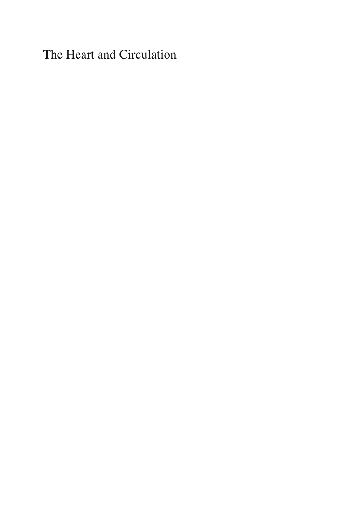The Heart and Circulation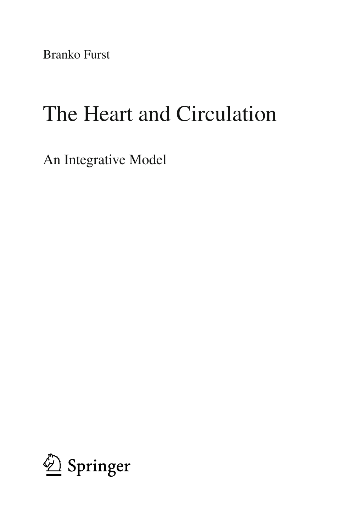Branko Furst

# The Heart and Circulation

An Integrative Model

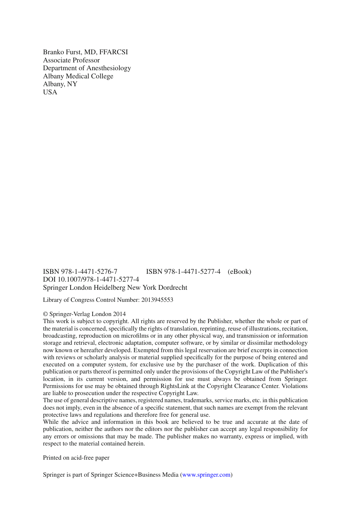Branko Furst, MD, FFARCSI Associate Professor Department of Anesthesiology Albany Medical College Albany, NY USA

 ISBN 978-1-4471-5276-7 ISBN 978-1-4471-5277-4 (eBook) DOI 10.1007/978-1-4471-5277-4 Springer London Heidelberg New York Dordrecht

Library of Congress Control Number: 2013945553

© Springer-Verlag London 2014

 This work is subject to copyright. All rights are reserved by the Publisher, whether the whole or part of the material is concerned, specifically the rights of translation, reprinting, reuse of illustrations, recitation, broadcasting, reproduction on microfilms or in any other physical way, and transmission or information storage and retrieval, electronic adaptation, computer software, or by similar or dissimilar methodology now known or hereafter developed. Exempted from this legal reservation are brief excerpts in connection with reviews or scholarly analysis or material supplied specifically for the purpose of being entered and executed on a computer system, for exclusive use by the purchaser of the work. Duplication of this publication or parts thereof is permitted only under the provisions of the Copyright Law of the Publisher's location, in its current version, and permission for use must always be obtained from Springer. Permissions for use may be obtained through RightsLink at the Copyright Clearance Center. Violations are liable to prosecution under the respective Copyright Law.

 The use of general descriptive names, registered names, trademarks, service marks, etc. in this publication does not imply, even in the absence of a specific statement, that such names are exempt from the relevant protective laws and regulations and therefore free for general use.

 While the advice and information in this book are believed to be true and accurate at the date of publication, neither the authors nor the editors nor the publisher can accept any legal responsibility for any errors or omissions that may be made. The publisher makes no warranty, express or implied, with respect to the material contained herein.

Printed on acid-free paper

Springer is part of Springer Science+Business Media [\(www.springer.com\)](www.springer.com)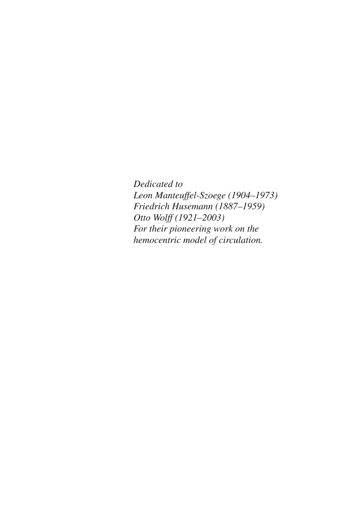*Dedicated to Leon Manteuffel-Szoege (1904–1973) Friedrich Husemann (1887–1959) Otto Wolff (1921–2003) For their pioneering work on the hemocentric model of circulation.*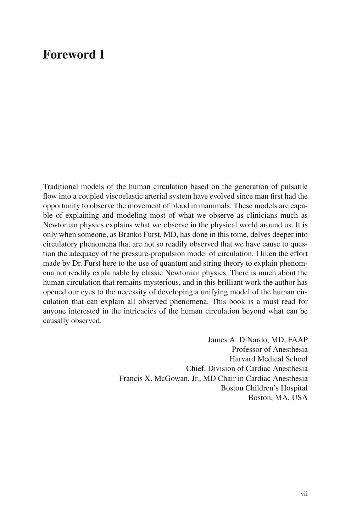### **Foreword I**

 Traditional models of the human circulation based on the generation of pulsatile flow into a coupled viscoelastic arterial system have evolved since man first had the opportunity to observe the movement of blood in mammals. These models are capable of explaining and modeling most of what we observe as clinicians much as Newtonian physics explains what we observe in the physical world around us. It is only when someone, as Branko Furst, MD, has done in this tome, delves deeper into circulatory phenomena that are not so readily observed that we have cause to question the adequacy of the pressure-propulsion model of circulation. I liken the effort made by Dr. Furst here to the use of quantum and string theory to explain phenomena not readily explainable by classic Newtonian physics. There is much about the human circulation that remains mysterious, and in this brilliant work the author has opened our eyes to the necessity of developing a unifying model of the human circulation that can explain all observed phenomena. This book is a must read for anyone interested in the intricacies of the human circulation beyond what can be causally observed.

> James A. DiNardo, MD, FAAP Professor of Anesthesia Harvard Medical School Chief, Division of Cardiac Anesthesia Francis X. McGowan, Jr., MD Chair in Cardiac Anesthesia Boston Children's Hospital Boston, MA, USA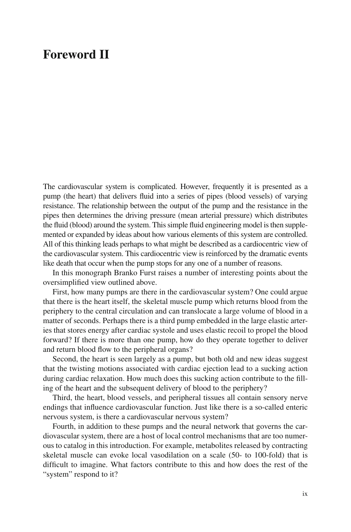### **Foreword II**

 The cardiovascular system is complicated. However, frequently it is presented as a pump (the heart) that delivers fluid into a series of pipes (blood vessels) of varying resistance. The relationship between the output of the pump and the resistance in the pipes then determines the driving pressure (mean arterial pressure) which distributes the fluid (blood) around the system. This simple fluid engineering model is then supplemented or expanded by ideas about how various elements of this system are controlled. All of this thinking leads perhaps to what might be described as a cardiocentric view of the cardiovascular system. This cardiocentric view is reinforced by the dramatic events like death that occur when the pump stops for any one of a number of reasons.

 In this monograph Branko Furst raises a number of interesting points about the oversimplified view outlined above.

 First, how many pumps are there in the cardiovascular system? One could argue that there is the heart itself, the skeletal muscle pump which returns blood from the periphery to the central circulation and can translocate a large volume of blood in a matter of seconds. Perhaps there is a third pump embedded in the large elastic arteries that stores energy after cardiac systole and uses elastic recoil to propel the blood forward? If there is more than one pump, how do they operate together to deliver and return blood flow to the peripheral organs?

 Second, the heart is seen largely as a pump, but both old and new ideas suggest that the twisting motions associated with cardiac ejection lead to a sucking action during cardiac relaxation. How much does this sucking action contribute to the filling of the heart and the subsequent delivery of blood to the periphery?

 Third, the heart, blood vessels, and peripheral tissues all contain sensory nerve endings that influence cardiovascular function. Just like there is a so-called enteric nervous system, is there a cardiovascular nervous system?

 Fourth, in addition to these pumps and the neural network that governs the cardiovascular system, there are a host of local control mechanisms that are too numerous to catalog in this introduction. For example, metabolites released by contracting skeletal muscle can evoke local vasodilation on a scale (50- to 100-fold) that is difficult to imagine. What factors contribute to this and how does the rest of the "system" respond to it?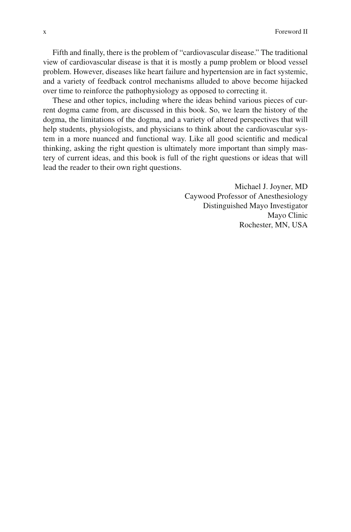Fifth and finally, there is the problem of "cardiovascular disease." The traditional view of cardiovascular disease is that it is mostly a pump problem or blood vessel problem. However, diseases like heart failure and hypertension are in fact systemic, and a variety of feedback control mechanisms alluded to above become hijacked over time to reinforce the pathophysiology as opposed to correcting it.

 These and other topics, including where the ideas behind various pieces of current dogma came from, are discussed in this book. So, we learn the history of the dogma, the limitations of the dogma, and a variety of altered perspectives that will help students, physiologists, and physicians to think about the cardiovascular system in a more nuanced and functional way. Like all good scientific and medical thinking, asking the right question is ultimately more important than simply mastery of current ideas, and this book is full of the right questions or ideas that will lead the reader to their own right questions.

> Michael J. Joyner, MD Caywood Professor of Anesthesiology Distinguished Mayo Investigator Mayo Clinic Rochester, MN, USA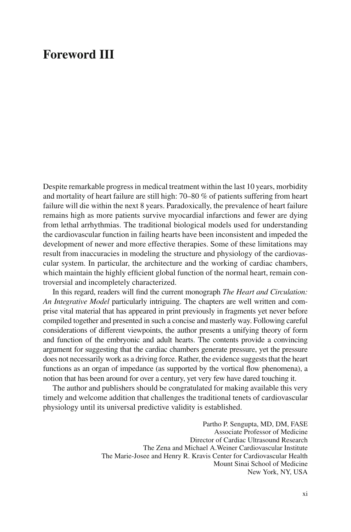### **Foreword III**

 Despite remarkable progress in medical treatment within the last 10 years, morbidity and mortality of heart failure are still high: 70–80 % of patients suffering from heart failure will die within the next 8 years. Paradoxically, the prevalence of heart failure remains high as more patients survive myocardial infarctions and fewer are dying from lethal arrhythmias. The traditional biological models used for understanding the cardiovascular function in failing hearts have been inconsistent and impeded the development of newer and more effective therapies. Some of these limitations may result from inaccuracies in modeling the structure and physiology of the cardiovascular system. In particular, the architecture and the working of cardiac chambers, which maintain the highly efficient global function of the normal heart, remain controversial and incompletely characterized.

In this regard, readers will find the current monograph *The Heart and Circulation*: *An Integrative Model* particularly intriguing. The chapters are well written and comprise vital material that has appeared in print previously in fragments yet never before compiled together and presented in such a concise and masterly way. Following careful considerations of different viewpoints, the author presents a unifying theory of form and function of the embryonic and adult hearts. The contents provide a convincing argument for suggesting that the cardiac chambers generate pressure, yet the pressure does not necessarily work as a driving force. Rather, the evidence suggests that the heart functions as an organ of impedance (as supported by the vortical flow phenomena), a notion that has been around for over a century, yet very few have dared touching it.

 The author and publishers should be congratulated for making available this very timely and welcome addition that challenges the traditional tenets of cardiovascular physiology until its universal predictive validity is established.

> Partho P. Sengupta, MD, DM, FASE Associate Professor of Medicine Director of Cardiac Ultrasound Research The Zena and Michael A.Weiner Cardiovascular Institute The Marie-Josee and Henry R. Kravis Center for Cardiovascular Health Mount Sinai School of Medicine New York, NY, USA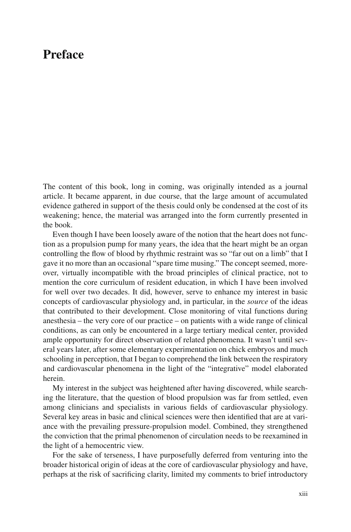#### **Preface**

 The content of this book, long in coming, was originally intended as a journal article. It became apparent, in due course, that the large amount of accumulated evidence gathered in support of the thesis could only be condensed at the cost of its weakening; hence, the material was arranged into the form currently presented in the book.

 Even though I have been loosely aware of the notion that the heart does not function as a propulsion pump for many years, the idea that the heart might be an organ controlling the flow of blood by rhythmic restraint was so "far out on a limb" that I gave it no more than an occasional "spare time musing." The concept seemed, moreover, virtually incompatible with the broad principles of clinical practice, not to mention the core curriculum of resident education, in which I have been involved for well over two decades. It did, however, serve to enhance my interest in basic concepts of cardiovascular physiology and, in particular, in the *source* of the ideas that contributed to their development. Close monitoring of vital functions during anesthesia – the very core of our practice – on patients with a wide range of clinical conditions, as can only be encountered in a large tertiary medical center, provided ample opportunity for direct observation of related phenomena. It wasn't until several years later, after some elementary experimentation on chick embryos and much schooling in perception, that I began to comprehend the link between the respiratory and cardiovascular phenomena in the light of the "integrative" model elaborated herein.

 My interest in the subject was heightened after having discovered, while searching the literature, that the question of blood propulsion was far from settled, even among clinicians and specialists in various fields of cardiovascular physiology. Several key areas in basic and clinical sciences were then identified that are at variance with the prevailing pressure-propulsion model. Combined, they strengthened the conviction that the primal phenomenon of circulation needs to be reexamined in the light of a hemocentric view.

 For the sake of terseness, I have purposefully deferred from venturing into the broader historical origin of ideas at the core of cardiovascular physiology and have, perhaps at the risk of sacrificing clarity, limited my comments to brief introductory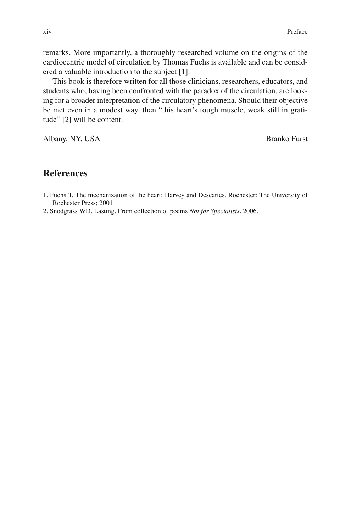remarks. More importantly, a thoroughly researched volume on the origins of the cardiocentric model of circulation by Thomas Fuchs is available and can be considered a valuable introduction to the subject [1].

 This book is therefore written for all those clinicians, researchers, educators, and students who, having been confronted with the paradox of the circulation, are looking for a broader interpretation of the circulatory phenomena. Should their objective be met even in a modest way, then "this heart's tough muscle, weak still in gratitude" [2] will be content.

Albany, NY, USA Branko Furst and the Branko Furst and Branko Furst and Branko Furst and Branko Furst and Branko Furst and Branko Furst and Branko Furst and Branko Furst and Branko Furst and Branko Furst and Branko Furst an

#### **References**

- 1. Fuchs T. The mechanization of the heart: Harvey and Descartes. Rochester: The University of Rochester Press; 2001
- 2. Snodgrass WD. Lasting. From collection of poems *Not for Specialists* . 2006.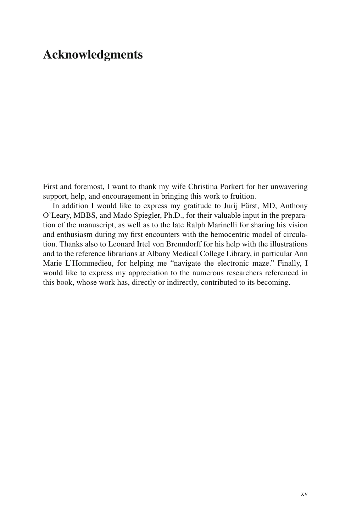## **Acknowledgments**

 First and foremost, I want to thank my wife Christina Porkert for her unwavering support, help, and encouragement in bringing this work to fruition.

 In addition I would like to express my gratitude to Jurij Fürst, MD, Anthony O'Leary, MBBS, and Mado Spiegler, Ph.D., for their valuable input in the preparation of the manuscript, as well as to the late Ralph Marinelli for sharing his vision and enthusiasm during my first encounters with the hemocentric model of circulation. Thanks also to Leonard Irtel von Brenndorff for his help with the illustrations and to the reference librarians at Albany Medical College Library, in particular Ann Marie L'Hommedieu, for helping me "navigate the electronic maze." Finally, I would like to express my appreciation to the numerous researchers referenced in this book, whose work has, directly or indirectly, contributed to its becoming.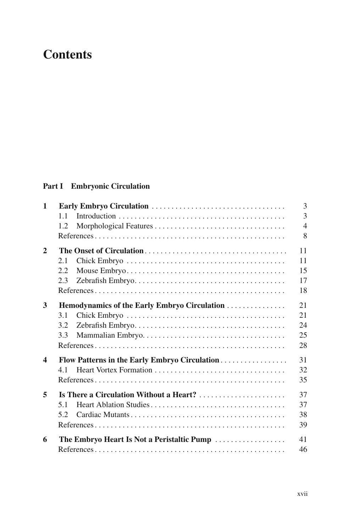### **Contents**

#### **Part I Embryonic Circulation**

| $\mathbf{1}$            |                                               | 3              |
|-------------------------|-----------------------------------------------|----------------|
|                         | 1.1                                           | 3              |
|                         | 1.2                                           | $\overline{4}$ |
|                         |                                               | 8              |
| $\mathbf{2}$            |                                               | 11             |
|                         | 2.1                                           | 11             |
|                         | 2.2                                           | 15             |
|                         | 2.3                                           | 17             |
|                         |                                               | 18             |
| 3                       | Hemodynamics of the Early Embryo Circulation  | 21             |
|                         | 3.1                                           | 21             |
|                         | 3.2                                           | 24             |
|                         | 3.3                                           | 25             |
|                         |                                               | 28             |
| $\overline{\mathbf{4}}$ | Flow Patterns in the Early Embryo Circulation | 31             |
|                         | 4.1                                           | 32             |
|                         |                                               | 35             |
| 5                       |                                               | 37             |
|                         | 5.1                                           | 37             |
|                         | 5.2                                           | 38             |
|                         |                                               | 39             |
| 6                       | The Embryo Heart Is Not a Peristaltic Pump    | 41             |
|                         |                                               | 46             |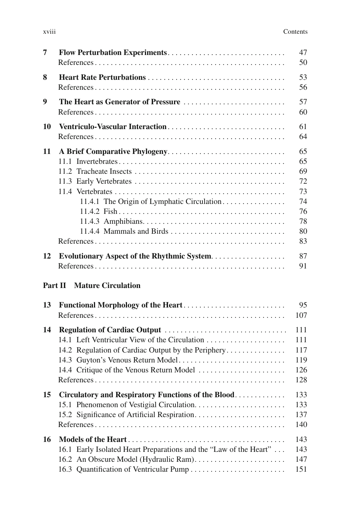| 7        |                                                                                                                                     | 47<br>50                                                       |
|----------|-------------------------------------------------------------------------------------------------------------------------------------|----------------------------------------------------------------|
| 8        |                                                                                                                                     | 53<br>56                                                       |
| 9        | The Heart as Generator of Pressure                                                                                                  | 57<br>60                                                       |
| 10       | Ventriculo-Vascular Interaction                                                                                                     | 61<br>64                                                       |
| 11<br>12 | 11.4.1 The Origin of Lymphatic Circulation<br>11.4.4 Mammals and Birds<br>Evolutionary Aspect of the Rhythmic System                | 65<br>65<br>69<br>72<br>73<br>74<br>76<br>78<br>80<br>83<br>87 |
|          | <b>Mature Circulation</b><br>Part II                                                                                                | 91                                                             |
| 13       | Functional Morphology of the Heart                                                                                                  | 95<br>107                                                      |
| 14       | 14.2 Regulation of Cardiac Output by the Periphery<br>14.3 Guyton's Venous Return Model<br>14.4 Critique of the Venous Return Model | 111<br>111<br>117<br>119<br>126<br>128                         |
| 15       | Circulatory and Respiratory Functions of the Blood                                                                                  | 133<br>133<br>137<br>140                                       |
| 16       | 16.1 Early Isolated Heart Preparations and the "Law of the Heart"<br>16.3 Quantification of Ventricular Pump                        | 143<br>143<br>147<br>151                                       |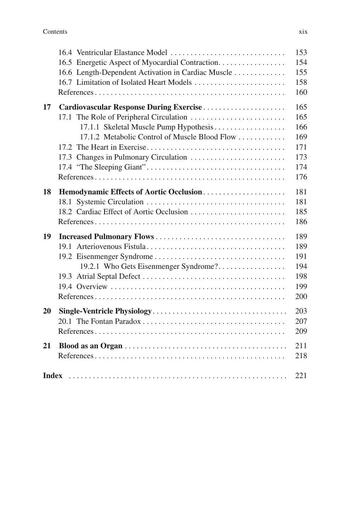|    | 16.4 Ventricular Elastance Model                   | 153 |
|----|----------------------------------------------------|-----|
|    | 16.5 Energetic Aspect of Myocardial Contraction.   | 154 |
|    | 16.6 Length-Dependent Activation in Cardiac Muscle | 155 |
|    | 16.7 Limitation of Isolated Heart Models           | 158 |
|    |                                                    | 160 |
| 17 | Cardiovascular Response During Exercise            | 165 |
|    |                                                    | 165 |
|    | 17.1.1 Skeletal Muscle Pump Hypothesis             | 166 |
|    | 17.1.2 Metabolic Control of Muscle Blood Flow      | 169 |
|    |                                                    | 171 |
|    |                                                    | 173 |
|    |                                                    | 174 |
|    |                                                    | 176 |
| 18 | Hemodynamic Effects of Aortic Occlusion            | 181 |
|    |                                                    | 181 |
|    |                                                    | 185 |
|    |                                                    | 186 |
| 19 |                                                    | 189 |
|    |                                                    | 189 |
|    |                                                    | 191 |
|    | 19.2.1 Who Gets Eisenmenger Syndrome?              | 194 |
|    |                                                    | 198 |
|    |                                                    | 199 |
|    |                                                    | 200 |
|    |                                                    |     |
| 20 |                                                    | 203 |
|    |                                                    | 207 |
|    |                                                    | 209 |
| 21 |                                                    | 211 |
|    |                                                    | 218 |
|    |                                                    |     |
|    |                                                    | 221 |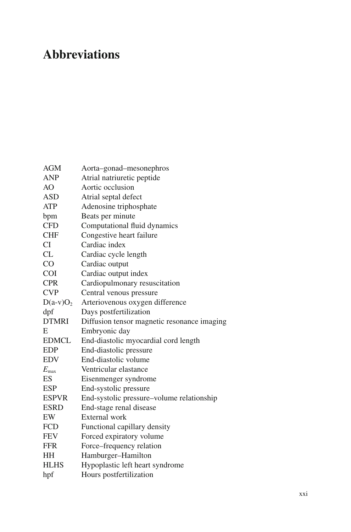# **Abbreviations**

| AGM           | Aorta-gonad-mesonephros                     |
|---------------|---------------------------------------------|
| ANP           | Atrial natriuretic peptide                  |
| AO            | Aortic occlusion                            |
| ASD           | Atrial septal defect                        |
| ATP           | Adenosine triphosphate                      |
| bpm           | Beats per minute                            |
| CFD           | Computational fluid dynamics                |
| <b>CHF</b>    | Congestive heart failure                    |
| CI            | Cardiac index                               |
| CL            | Cardiac cycle length                        |
| $\rm CO$      | Cardiac output                              |
| <b>COI</b>    | Cardiac output index                        |
| <b>CPR</b>    | Cardiopulmonary resuscitation               |
| CVP           | Central venous pressure                     |
| $D(a-v)O_2$   | Arteriovenous oxygen difference             |
| dpf           | Days postfertilization                      |
| <b>DTMRI</b>  | Diffusion tensor magnetic resonance imaging |
| E             | Embryonic day                               |
| EDMCL         | End-diastolic myocardial cord length        |
| EDP           | End-diastolic pressure                      |
| <b>EDV</b>    | End-diastolic volume                        |
| $E_{\rm max}$ | Ventricular elastance                       |
| ES            | Eisenmenger syndrome                        |
| ESP           | End-systolic pressure                       |
| ESPVR         | End-systolic pressure-volume relationship   |
| ESRD          | End-stage renal disease                     |
| EW            | External work                               |
| FCD           | Functional capillary density                |
| FEV           | Forced expiratory volume                    |
| FFR           | Force-frequency relation                    |
| HН            | Hamburger-Hamilton                          |
| HLHS          | Hypoplastic left heart syndrome             |
| hpf           | Hours postfertilization                     |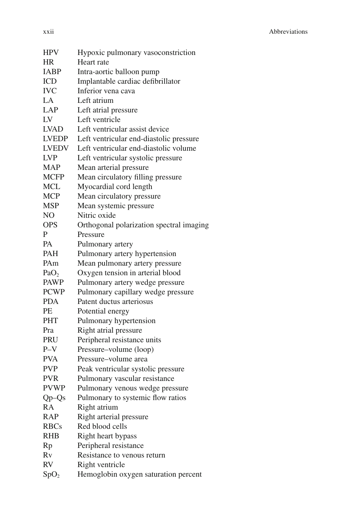| <b>HPV</b>       | Hypoxic pulmonary vasoconstriction       |
|------------------|------------------------------------------|
| HR               | Heart rate                               |
| <b>IABP</b>      | Intra-aortic balloon pump                |
| ICD              | Implantable cardiac defibrillator        |
| <b>IVC</b>       | Inferior vena cava                       |
| LA               | Left atrium                              |
| <b>LAP</b>       | Left atrial pressure                     |
| LV               | Left ventricle                           |
| <b>LVAD</b>      | Left ventricular assist device           |
| <b>LVEDP</b>     | Left ventricular end-diastolic pressure  |
| <b>LVEDV</b>     | Left ventricular end-diastolic volume    |
| <b>LVP</b>       | Left ventricular systolic pressure       |
| MAP              | Mean arterial pressure                   |
| <b>MCFP</b>      | Mean circulatory filling pressure        |
| <b>MCL</b>       | Myocardial cord length                   |
| <b>MCP</b>       | Mean circulatory pressure                |
| MSP              | Mean systemic pressure                   |
| NO               | Nitric oxide                             |
| <b>OPS</b>       | Orthogonal polarization spectral imaging |
| P                | Pressure                                 |
| PA               | Pulmonary artery                         |
| <b>PAH</b>       | Pulmonary artery hypertension            |
| PAm              | Mean pulmonary artery pressure           |
| PaO <sub>2</sub> | Oxygen tension in arterial blood         |
| <b>PAWP</b>      | Pulmonary artery wedge pressure          |
| <b>PCWP</b>      | Pulmonary capillary wedge pressure       |
| <b>PDA</b>       | Patent ductus arteriosus                 |
| PE               | Potential energy                         |
| <b>PHT</b>       | Pulmonary hypertension                   |
| Pra              | Right atrial pressure                    |
| PRU              | Peripheral resistance units              |
| $P-V$            | Pressure-volume (loop)                   |
| <b>PVA</b>       | Pressure-volume area                     |
| <b>PVP</b>       | Peak ventricular systolic pressure       |
| <b>PVR</b>       | Pulmonary vascular resistance            |
| <b>PVWP</b>      | Pulmonary venous wedge pressure          |
| $Qp-Qs$          | Pulmonary to systemic flow ratios        |
| RA               | <b>Right</b> atrium                      |
| RAP              | Right arterial pressure                  |
| <b>RBCs</b>      | Red blood cells                          |
| <b>RHB</b>       | Right heart bypass                       |
| Rp               | Peripheral resistance                    |
| Rv               | Resistance to venous return              |
| <b>RV</b>        | Right ventricle                          |
| SpO <sub>2</sub> | Hemoglobin oxygen saturation percent     |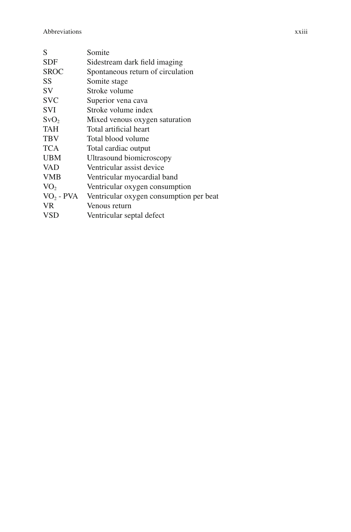| S                | Somite                                  |
|------------------|-----------------------------------------|
| <b>SDF</b>       | Sidestream dark field imaging           |
| <b>SROC</b>      | Spontaneous return of circulation       |
| SS               | Somite stage                            |
| <b>SV</b>        | Stroke volume                           |
| <b>SVC</b>       | Superior vena cava                      |
| <b>SVI</b>       | Stroke volume index                     |
| SvO <sub>2</sub> | Mixed venous oxygen saturation          |
| <b>TAH</b>       | Total artificial heart                  |
| <b>TBV</b>       | Total blood volume                      |
| <b>TCA</b>       | Total cardiac output                    |
| <b>UBM</b>       | Ultrasound biomicroscopy                |
| <b>VAD</b>       | Ventricular assist device               |
| <b>VMB</b>       | Ventricular myocardial band             |
| VO <sub>2</sub>  | Ventricular oxygen consumption          |
| $VO2$ - PVA      | Ventricular oxygen consumption per beat |
| VR.              | Venous return                           |
| <b>VSD</b>       | Ventricular septal defect               |
|                  |                                         |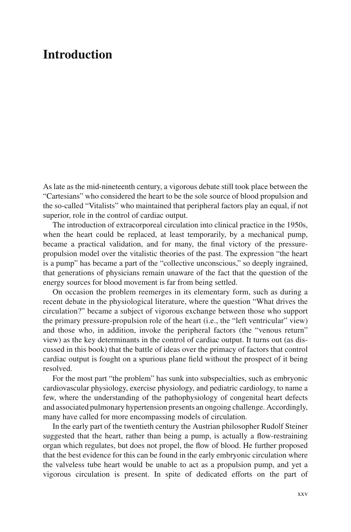### **Introduction**

 As late as the mid-nineteenth century, a vigorous debate still took place between the "Cartesians" who considered the heart to be the sole source of blood propulsion and the so-called "Vitalists" who maintained that peripheral factors play an equal, if not superior, role in the control of cardiac output.

 The introduction of extracorporeal circulation into clinical practice in the 1950s, when the heart could be replaced, at least temporarily, by a mechanical pump, became a practical validation, and for many, the final victory of the pressurepropulsion model over the vitalistic theories of the past. The expression "the heart is a pump" has became a part of the "collective unconscious," so deeply ingrained, that generations of physicians remain unaware of the fact that the question of the energy sources for blood movement is far from being settled.

 On occasion the problem reemerges in its elementary form, such as during a recent debate in the physiological literature, where the question "What drives the circulation?" became a subject of vigorous exchange between those who support the primary pressure-propulsion role of the heart (i.e., the "left ventricular" view) and those who, in addition, invoke the peripheral factors (the "venous return" view) as the key determinants in the control of cardiac output. It turns out (as discussed in this book) that the battle of ideas over the primacy of factors that control cardiac output is fought on a spurious plane field without the prospect of it being resolved.

 For the most part "the problem" has sunk into subspecialties, such as embryonic cardiovascular physiology, exercise physiology, and pediatric cardiology, to name a few, where the understanding of the pathophysiology of congenital heart defects and associated pulmonary hypertension presents an ongoing challenge. Accordingly, many have called for more encompassing models of circulation.

 In the early part of the twentieth century the Austrian philosopher Rudolf Steiner suggested that the heart, rather than being a pump, is actually a flow-restraining organ which regulates, but does not propel, the flow of blood. He further proposed that the best evidence for this can be found in the early embryonic circulation where the valveless tube heart would be unable to act as a propulsion pump, and yet a vigorous circulation is present. In spite of dedicated efforts on the part of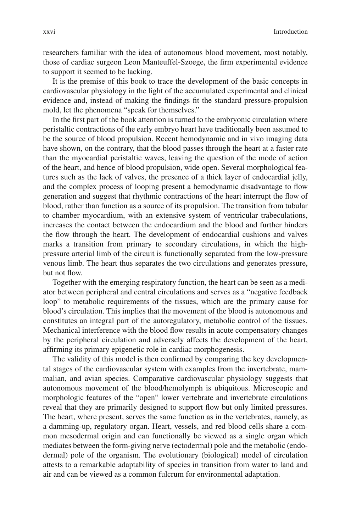researchers familiar with the idea of autonomous blood movement, most notably, those of cardiac surgeon Leon Manteuffel-Szoege, the firm experimental evidence to support it seemed to be lacking.

 It is the premise of this book to trace the development of the basic concepts in cardiovascular physiology in the light of the accumulated experimental and clinical evidence and, instead of making the findings fit the standard pressure-propulsion mold, let the phenomena "speak for themselves."

In the first part of the book attention is turned to the embryonic circulation where peristaltic contractions of the early embryo heart have traditionally been assumed to be the source of blood propulsion. Recent hemodynamic and in vivo imaging data have shown, on the contrary, that the blood passes through the heart at a faster rate than the myocardial peristaltic waves, leaving the question of the mode of action of the heart, and hence of blood propulsion, wide open. Several morphological features such as the lack of valves, the presence of a thick layer of endocardial jelly, and the complex process of looping present a hemodynamic disadvantage to flow generation and suggest that rhythmic contractions of the heart interrupt the flow of blood, rather than function as a source of its propulsion. The transition from tubular to chamber myocardium, with an extensive system of ventricular trabeculations, increases the contact between the endocardium and the blood and further hinders the flow through the heart. The development of endocardial cushions and valves marks a transition from primary to secondary circulations, in which the highpressure arterial limb of the circuit is functionally separated from the low-pressure venous limb. The heart thus separates the two circulations and generates pressure, but not flow.

 Together with the emerging respiratory function, the heart can be seen as a mediator between peripheral and central circulations and serves as a "negative feedback loop" to metabolic requirements of the tissues, which are the primary cause for blood's circulation. This implies that the movement of the blood is autonomous and constitutes an integral part of the autoregulatory, metabolic control of the tissues. Mechanical interference with the blood flow results in acute compensatory changes by the peripheral circulation and adversely affects the development of the heart, affirming its primary epigenetic role in cardiac morphogenesis.

The validity of this model is then confirmed by comparing the key developmental stages of the cardiovascular system with examples from the invertebrate, mammalian, and avian species. Comparative cardiovascular physiology suggests that autonomous movement of the blood/hemolymph is ubiquitous. Microscopic and morphologic features of the "open" lower vertebrate and invertebrate circulations reveal that they are primarily designed to support flow but only limited pressures. The heart, where present, serves the same function as in the vertebrates, namely, as a damming-up, regulatory organ. Heart, vessels, and red blood cells share a common mesodermal origin and can functionally be viewed as a single organ which mediates between the form-giving nerve (ectodermal) pole and the metabolic (endodermal) pole of the organism. The evolutionary (biological) model of circulation attests to a remarkable adaptability of species in transition from water to land and air and can be viewed as a common fulcrum for environmental adaptation.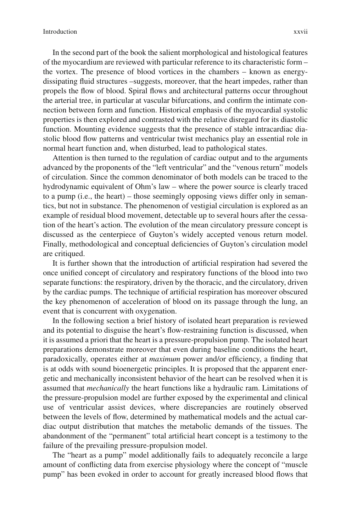In the second part of the book the salient morphological and histological features of the myocardium are reviewed with particular reference to its characteristic form – the vortex. The presence of blood vortices in the chambers – known as energydissipating fluid structures –suggests, moreover, that the heart impedes, rather than propels the flow of blood. Spiral flows and architectural patterns occur throughout the arterial tree, in particular at vascular bifurcations, and confirm the intimate connection between form and function. Historical emphasis of the myocardial systolic properties is then explored and contrasted with the relative disregard for its diastolic function. Mounting evidence suggests that the presence of stable intracardiac diastolic blood flow patterns and ventricular twist mechanics play an essential role in normal heart function and, when disturbed, lead to pathological states.

 Attention is then turned to the regulation of cardiac output and to the arguments advanced by the proponents of the "left ventricular" and the "venous return" models of circulation. Since the common denominator of both models can be traced to the hydrodynamic equivalent of Ohm's law – where the power source is clearly traced to a pump (i.e., the heart) – those seemingly opposing views differ only in semantics, but not in substance. The phenomenon of vestigial circulation is explored as an example of residual blood movement, detectable up to several hours after the cessation of the heart's action. The evolution of the mean circulatory pressure concept is discussed as the centerpiece of Guyton's widely accepted venous return model. Finally, methodological and conceptual deficiencies of Guyton's circulation model are critiqued.

It is further shown that the introduction of artificial respiration had severed the once unified concept of circulatory and respiratory functions of the blood into two separate functions: the respiratory, driven by the thoracic, and the circulatory, driven by the cardiac pumps. The technique of artificial respiration has moreover obscured the key phenomenon of acceleration of blood on its passage through the lung, an event that is concurrent with oxygenation.

 In the following section a brief history of isolated heart preparation is reviewed and its potential to disguise the heart's flow-restraining function is discussed, when it is assumed a priori that the heart is a pressure-propulsion pump. The isolated heart preparations demonstrate moreover that even during baseline conditions the heart, paradoxically, operates either at *maximum* power and/or efficiency, a finding that is at odds with sound bioenergetic principles. It is proposed that the apparent energetic and mechanically inconsistent behavior of the heart can be resolved when it is assumed that *mechanically* the heart functions like a hydraulic ram. Limitations of the pressure-propulsion model are further exposed by the experimental and clinical use of ventricular assist devices, where discrepancies are routinely observed between the levels of flow, determined by mathematical models and the actual cardiac output distribution that matches the metabolic demands of the tissues. The abandonment of the "permanent" total artificial heart concept is a testimony to the failure of the prevailing pressure-propulsion model.

 The "heart as a pump" model additionally fails to adequately reconcile a large amount of conflicting data from exercise physiology where the concept of "muscle pump" has been evoked in order to account for greatly increased blood flows that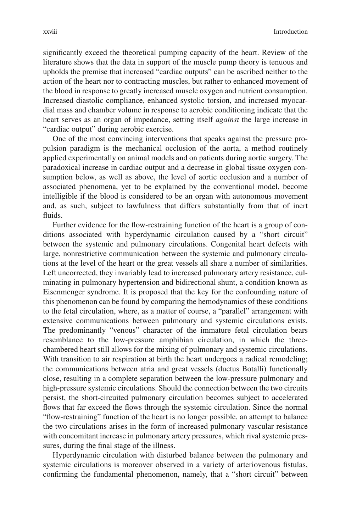significantly exceed the theoretical pumping capacity of the heart. Review of the literature shows that the data in support of the muscle pump theory is tenuous and upholds the premise that increased "cardiac outputs" can be ascribed neither to the action of the heart nor to contracting muscles, but rather to enhanced movement of the blood in response to greatly increased muscle oxygen and nutrient consumption. Increased diastolic compliance, enhanced systolic torsion, and increased myocardial mass and chamber volume in response to aerobic conditioning indicate that the heart serves as an organ of impedance, setting itself *against* the large increase in "cardiac output" during aerobic exercise.

 One of the most convincing interventions that speaks against the pressure propulsion paradigm is the mechanical occlusion of the aorta, a method routinely applied experimentally on animal models and on patients during aortic surgery. The paradoxical increase in cardiac output and a decrease in global tissue oxygen consumption below, as well as above, the level of aortic occlusion and a number of associated phenomena, yet to be explained by the conventional model, become intelligible if the blood is considered to be an organ with autonomous movement and, as such, subject to lawfulness that differs substantially from that of inert fluids.

Further evidence for the flow-restraining function of the heart is a group of conditions associated with hyperdynamic circulation caused by a "short circuit" between the systemic and pulmonary circulations. Congenital heart defects with large, nonrestrictive communication between the systemic and pulmonary circulations at the level of the heart or the great vessels all share a number of similarities. Left uncorrected, they invariably lead to increased pulmonary artery resistance, culminating in pulmonary hypertension and bidirectional shunt, a condition known as Eisenmenger syndrome. It is proposed that the key for the confounding nature of this phenomenon can be found by comparing the hemodynamics of these conditions to the fetal circulation, where, as a matter of course, a "parallel" arrangement with extensive communications between pulmonary and systemic circulations exists. The predominantly "venous" character of the immature fetal circulation bears resemblance to the low-pressure amphibian circulation, in which the threechambered heart still allows for the mixing of pulmonary and systemic circulations. With transition to air respiration at birth the heart undergoes a radical remodeling; the communications between atria and great vessels (ductus Botalli) functionally close, resulting in a complete separation between the low-pressure pulmonary and high-pressure systemic circulations. Should the connection between the two circuits persist, the short-circuited pulmonary circulation becomes subject to accelerated flows that far exceed the flows through the systemic circulation. Since the normal "flow-restraining" function of the heart is no longer possible, an attempt to balance the two circulations arises in the form of increased pulmonary vascular resistance with concomitant increase in pulmonary artery pressures, which rival systemic pressures, during the final stage of the illness.

 Hyperdynamic circulation with disturbed balance between the pulmonary and systemic circulations is moreover observed in a variety of arteriovenous fistulas, confirming the fundamental phenomenon, namely, that a "short circuit" between